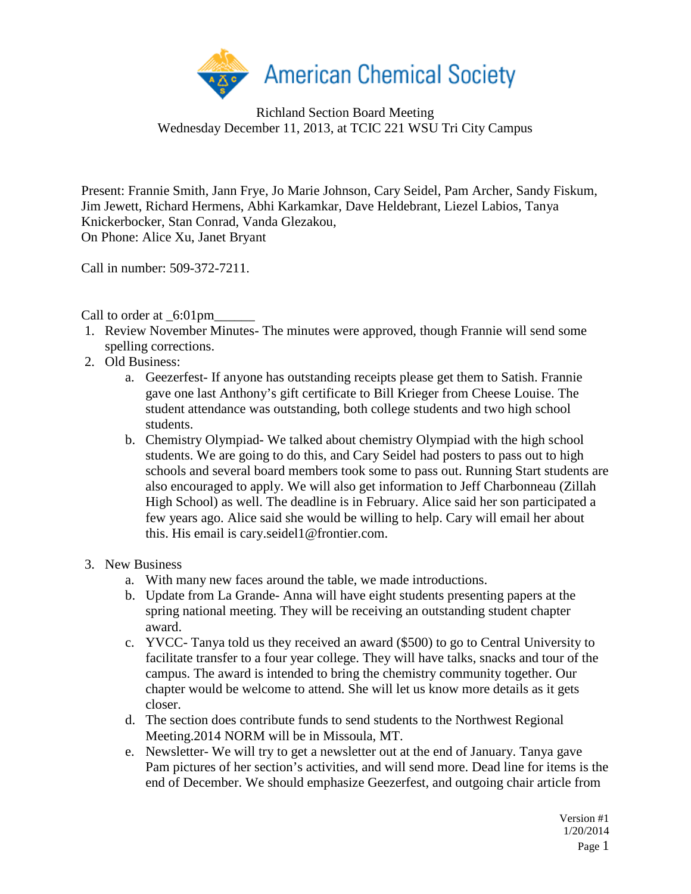

Richland Section Board Meeting Wednesday December 11, 2013, at TCIC 221 WSU Tri City Campus

Present: Frannie Smith, Jann Frye, Jo Marie Johnson, Cary Seidel, Pam Archer, Sandy Fiskum, Jim Jewett, Richard Hermens, Abhi Karkamkar, Dave Heldebrant, Liezel Labios, Tanya Knickerbocker, Stan Conrad, Vanda Glezakou, On Phone: Alice Xu, Janet Bryant

Call in number: 509-372-7211.

Call to order at \_6:01pm\_

- 1. Review November Minutes- The minutes were approved, though Frannie will send some spelling corrections.
- 2. Old Business:
	- a. Geezerfest- If anyone has outstanding receipts please get them to Satish. Frannie gave one last Anthony's gift certificate to Bill Krieger from Cheese Louise. The student attendance was outstanding, both college students and two high school students.
	- b. Chemistry Olympiad- We talked about chemistry Olympiad with the high school students. We are going to do this, and Cary Seidel had posters to pass out to high schools and several board members took some to pass out. Running Start students are also encouraged to apply. We will also get information to Jeff Charbonneau (Zillah High School) as well. The deadline is in February. Alice said her son participated a few years ago. Alice said she would be willing to help. Cary will email her about this. His email is cary.seidel1@frontier.com.
- 3. New Business
	- a. With many new faces around the table, we made introductions.
	- b. Update from La Grande- Anna will have eight students presenting papers at the spring national meeting. They will be receiving an outstanding student chapter award.
	- c. YVCC- Tanya told us they received an award (\$500) to go to Central University to facilitate transfer to a four year college. They will have talks, snacks and tour of the campus. The award is intended to bring the chemistry community together. Our chapter would be welcome to attend. She will let us know more details as it gets closer.
	- d. The section does contribute funds to send students to the Northwest Regional Meeting.2014 NORM will be in Missoula, MT.
	- e. Newsletter- We will try to get a newsletter out at the end of January. Tanya gave Pam pictures of her section's activities, and will send more. Dead line for items is the end of December. We should emphasize Geezerfest, and outgoing chair article from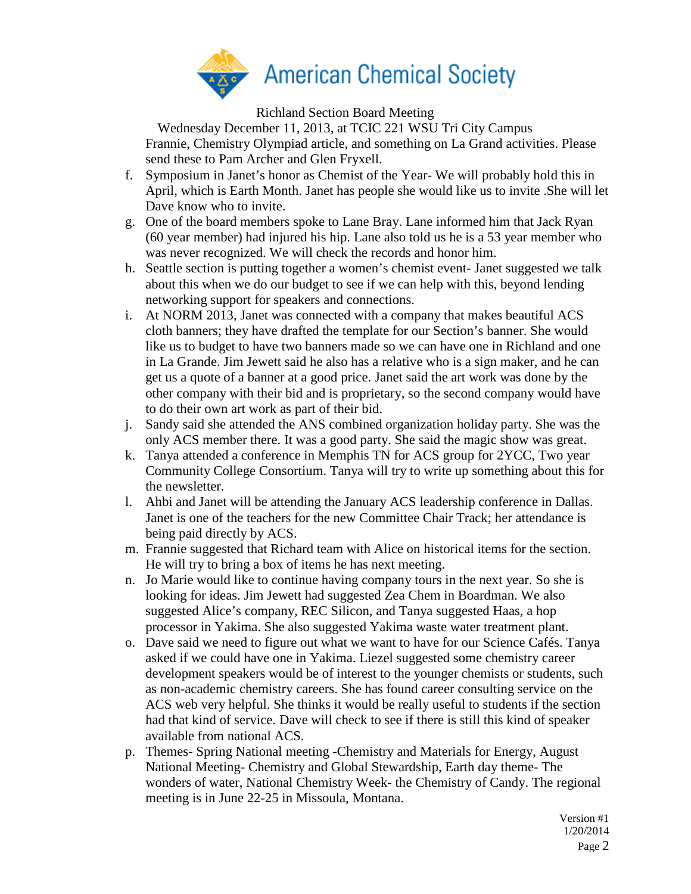

Richland Section Board Meeting

Wednesday December 11, 2013, at TCIC 221 WSU Tri City Campus Frannie, Chemistry Olympiad article, and something on La Grand activities. Please send these to Pam Archer and Glen Fryxell.

- f. Symposium in Janet's honor as Chemist of the Year- We will probably hold this in April, which is Earth Month. Janet has people she would like us to invite .She will let Dave know who to invite.
- g. One of the board members spoke to Lane Bray. Lane informed him that Jack Ryan (60 year member) had injured his hip. Lane also told us he is a 53 year member who was never recognized. We will check the records and honor him.
- h. Seattle section is putting together a women's chemist event- Janet suggested we talk about this when we do our budget to see if we can help with this, beyond lending networking support for speakers and connections.
- i. At NORM 2013, Janet was connected with a company that makes beautiful ACS cloth banners; they have drafted the template for our Section's banner. She would like us to budget to have two banners made so we can have one in Richland and one in La Grande. Jim Jewett said he also has a relative who is a sign maker, and he can get us a quote of a banner at a good price. Janet said the art work was done by the other company with their bid and is proprietary, so the second company would have to do their own art work as part of their bid.
- j. Sandy said she attended the ANS combined organization holiday party. She was the only ACS member there. It was a good party. She said the magic show was great.
- k. Tanya attended a conference in Memphis TN for ACS group for 2YCC, Two year Community College Consortium. Tanya will try to write up something about this for the newsletter.
- l. Ahbi and Janet will be attending the January ACS leadership conference in Dallas. Janet is one of the teachers for the new Committee Chair Track; her attendance is being paid directly by ACS.
- m. Frannie suggested that Richard team with Alice on historical items for the section. He will try to bring a box of items he has next meeting.
- n. Jo Marie would like to continue having company tours in the next year. So she is looking for ideas. Jim Jewett had suggested Zea Chem in Boardman. We also suggested Alice's company, REC Silicon, and Tanya suggested Haas, a hop processor in Yakima. She also suggested Yakima waste water treatment plant.
- o. Dave said we need to figure out what we want to have for our Science Cafés. Tanya asked if we could have one in Yakima. Liezel suggested some chemistry career development speakers would be of interest to the younger chemists or students, such as non-academic chemistry careers. She has found career consulting service on the ACS web very helpful. She thinks it would be really useful to students if the section had that kind of service. Dave will check to see if there is still this kind of speaker available from national ACS.
- p. Themes- Spring National meeting -Chemistry and Materials for Energy, August National Meeting- Chemistry and Global Stewardship, Earth day theme- The wonders of water, National Chemistry Week- the Chemistry of Candy. The regional meeting is in June 22-25 in Missoula, Montana.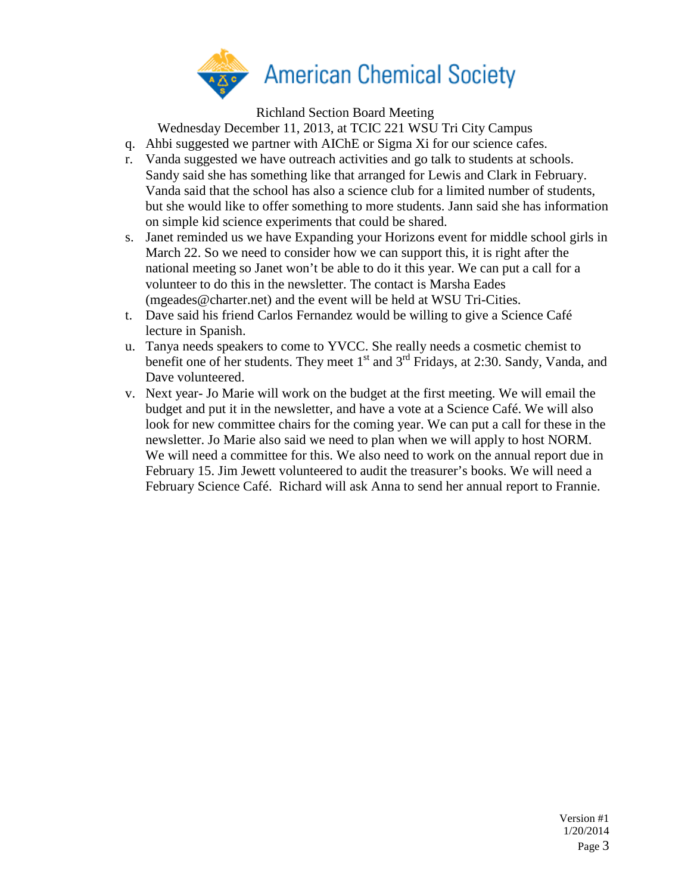

Richland Section Board Meeting

Wednesday December 11, 2013, at TCIC 221 WSU Tri City Campus

- q. Ahbi suggested we partner with AIChE or Sigma Xi for our science cafes.
- r. Vanda suggested we have outreach activities and go talk to students at schools. Sandy said she has something like that arranged for Lewis and Clark in February. Vanda said that the school has also a science club for a limited number of students, but she would like to offer something to more students. Jann said she has information on simple kid science experiments that could be shared.
- s. Janet reminded us we have Expanding your Horizons event for middle school girls in March 22. So we need to consider how we can support this, it is right after the national meeting so Janet won't be able to do it this year. We can put a call for a volunteer to do this in the newsletter. The contact is Marsha Eades (mgeades@charter.net) and the event will be held at WSU Tri-Cities.
- t. Dave said his friend Carlos Fernandez would be willing to give a Science Café lecture in Spanish.
- u. Tanya needs speakers to come to YVCC. She really needs a cosmetic chemist to benefit one of her students. They meet  $1<sup>st</sup>$  and  $3<sup>rd</sup>$  Fridays, at 2:30. Sandy, Vanda, and Dave volunteered.
- v. Next year- Jo Marie will work on the budget at the first meeting. We will email the budget and put it in the newsletter, and have a vote at a Science Café. We will also look for new committee chairs for the coming year. We can put a call for these in the newsletter. Jo Marie also said we need to plan when we will apply to host NORM. We will need a committee for this. We also need to work on the annual report due in February 15. Jim Jewett volunteered to audit the treasurer's books. We will need a February Science Café. Richard will ask Anna to send her annual report to Frannie.